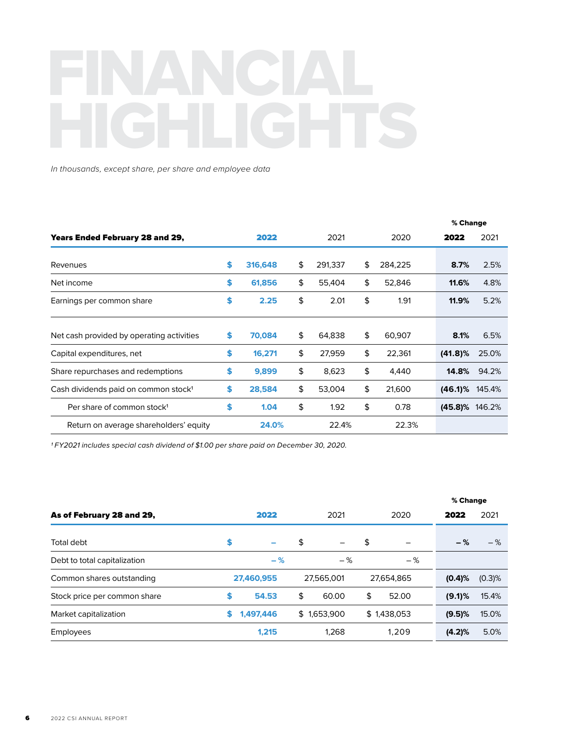## FINANCIAL

*In thousands, except share, per share and employee data* 

|                                                  |    |         |    |         |    |         | % Change         |       |  |
|--------------------------------------------------|----|---------|----|---------|----|---------|------------------|-------|--|
| <b>Years Ended February 28 and 29,</b>           |    | 2022    |    | 2021    |    | 2020    | 2022             | 2021  |  |
| Revenues                                         | S  | 316,648 | \$ | 291,337 | \$ | 284,225 | 8.7%             | 2.5%  |  |
| Net income                                       | \$ | 61,856  | \$ | 55,404  | \$ | 52,846  | 11.6%            | 4.8%  |  |
| Earnings per common share                        | \$ | 2.25    | \$ | 2.01    | \$ | 1.91    | 11.9%            | 5.2%  |  |
| Net cash provided by operating activities        | S  | 70,084  | \$ | 64,838  | \$ | 60,907  | 8.1%             | 6.5%  |  |
| Capital expenditures, net                        | \$ | 16,271  | \$ | 27,959  | \$ | 22,361  | $(41.8)\%$       | 25.0% |  |
| Share repurchases and redemptions                | \$ | 9,899   | \$ | 8,623   | \$ | 4,440   | 14.8%            | 94.2% |  |
| Cash dividends paid on common stock <sup>1</sup> | \$ | 28,584  | \$ | 53,004  | \$ | 21,600  | $(46.1\%$ 145.4% |       |  |
| Per share of common stock <sup>1</sup>           | \$ | 1.04    | \$ | 1.92    | \$ | 0.78    | (45.8)% 146.2%   |       |  |
| Return on average shareholders' equity           |    | 24.0%   |    | 22.4%   |    | 22.3%   |                  |       |  |

*1 FY2021 includes special cash dividend of \$1.00 per share paid on December 30, 2020.* 

|                              |    |            |    |             |    |             | % Change  |           |  |
|------------------------------|----|------------|----|-------------|----|-------------|-----------|-----------|--|
| As of February 28 and 29,    |    | 2022       |    | 2021        |    | 2020        | 2022      | 2021      |  |
| Total debt                   | \$ | -          | \$ |             | \$ |             | $-$ %     | $-$ %     |  |
| Debt to total capitalization |    | $-$ %      |    | $-$ %       |    | $-$ %       |           |           |  |
| Common shares outstanding    |    | 27,460,955 |    | 27.565.001  |    | 27,654,865  | (0.4)%    | $(0.3)$ % |  |
| Stock price per common share | S  | 54.53      | \$ | 60.00       | \$ | 52.00       | $(9.1)$ % | 15.4%     |  |
| Market capitalization        | S  | 1,497,446  |    | \$1,653,900 |    | \$1,438,053 | (9.5)%    | 15.0%     |  |
| Employees                    |    | 1.215      |    | 1.268       |    | 1,209       | (4.2)%    | 5.0%      |  |